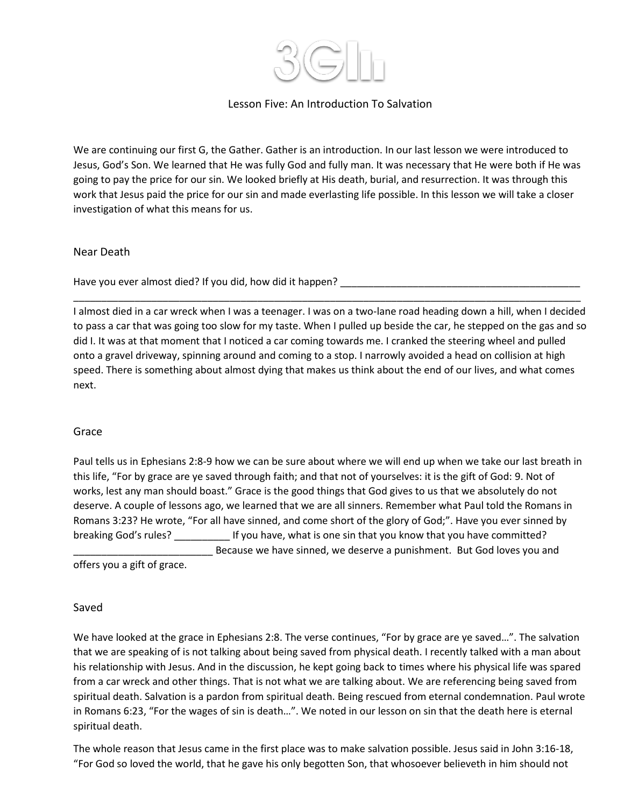

# Lesson Five: An Introduction To Salvation

We are continuing our first G, the Gather. Gather is an introduction. In our last lesson we were introduced to Jesus, God's Son. We learned that He was fully God and fully man. It was necessary that He were both if He was going to pay the price for our sin. We looked briefly at His death, burial, and resurrection. It was through this work that Jesus paid the price for our sin and made everlasting life possible. In this lesson we will take a closer investigation of what this means for us.

### Near Death

Have you ever almost died? If you did, how did it happen?

I almost died in a car wreck when I was a teenager. I was on a two-lane road heading down a hill, when I decided to pass a car that was going too slow for my taste. When I pulled up beside the car, he stepped on the gas and so did I. It was at that moment that I noticed a car coming towards me. I cranked the steering wheel and pulled onto a gravel driveway, spinning around and coming to a stop. I narrowly avoided a head on collision at high speed. There is something about almost dying that makes us think about the end of our lives, and what comes next.

\_\_\_\_\_\_\_\_\_\_\_\_\_\_\_\_\_\_\_\_\_\_\_\_\_\_\_\_\_\_\_\_\_\_\_\_\_\_\_\_\_\_\_\_\_\_\_\_\_\_\_\_\_\_\_\_\_\_\_\_\_\_\_\_\_\_\_\_\_\_\_\_\_\_\_\_\_\_\_\_\_\_\_\_\_\_\_\_\_\_\_

## Grace

Paul tells us in Ephesians 2:8-9 how we can be sure about where we will end up when we take our last breath in this life, "For by grace are ye saved through faith; and that not of yourselves: it is the gift of God: 9. Not of works, lest any man should boast." Grace is the good things that God gives to us that we absolutely do not deserve. A couple of lessons ago, we learned that we are all sinners. Remember what Paul told the Romans in Romans 3:23? He wrote, "For all have sinned, and come short of the glory of God;". Have you ever sinned by breaking God's rules? **If you have, what is one sin that you know that you have committed?** Because we have sinned, we deserve a punishment. But God loves you and

offers you a gift of grace.

#### Saved

We have looked at the grace in Ephesians 2:8. The verse continues, "For by grace are ye saved…". The salvation that we are speaking of is not talking about being saved from physical death. I recently talked with a man about his relationship with Jesus. And in the discussion, he kept going back to times where his physical life was spared from a car wreck and other things. That is not what we are talking about. We are referencing being saved from spiritual death. Salvation is a pardon from spiritual death. Being rescued from eternal condemnation. Paul wrote in Romans 6:23, "For the wages of sin is death…". We noted in our lesson on sin that the death here is eternal spiritual death.

The whole reason that Jesus came in the first place was to make salvation possible. Jesus said in John 3:16-18, "For God so loved the world, that he gave his only begotten Son, that whosoever believeth in him should not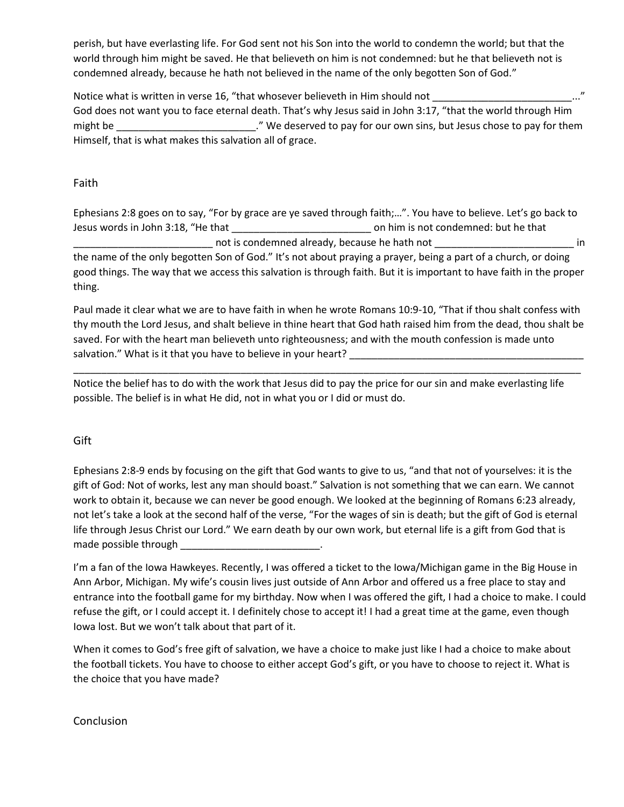perish, but have everlasting life. For God sent not his Son into the world to condemn the world; but that the world through him might be saved. He that believeth on him is not condemned: but he that believeth not is condemned already, because he hath not believed in the name of the only begotten Son of God."

Notice what is written in verse 16, "that whosever believeth in Him should not God does not want you to face eternal death. That's why Jesus said in John 3:17, "that the world through Him might be \_\_\_\_\_\_\_\_\_\_\_\_\_\_\_\_\_\_\_\_\_\_\_\_\_." We deserved to pay for our own sins, but Jesus chose to pay for them Himself, that is what makes this salvation all of grace.

### Faith

Ephesians 2:8 goes on to say, "For by grace are ye saved through faith;…". You have to believe. Let's go back to Jesus words in John 3:18, "He that \_\_\_\_\_\_\_\_\_\_\_\_\_\_\_\_\_\_\_\_\_\_\_\_\_ on him is not condemned: but he that not is condemned already, because he hath not **with all allocate hereafter** in the name of the only begotten Son of God." It's not about praying a prayer, being a part of a church, or doing good things. The way that we access this salvation is through faith. But it is important to have faith in the proper thing.

Paul made it clear what we are to have faith in when he wrote Romans 10:9-10, "That if thou shalt confess with thy mouth the Lord Jesus, and shalt believe in thine heart that God hath raised him from the dead, thou shalt be saved. For with the heart man believeth unto righteousness; and with the mouth confession is made unto salvation." What is it that you have to believe in your heart?

\_\_\_\_\_\_\_\_\_\_\_\_\_\_\_\_\_\_\_\_\_\_\_\_\_\_\_\_\_\_\_\_\_\_\_\_\_\_\_\_\_\_\_\_\_\_\_\_\_\_\_\_\_\_\_\_\_\_\_\_\_\_\_\_\_\_\_\_\_\_\_\_\_\_\_\_\_\_\_\_\_\_\_\_\_\_\_\_\_\_\_

Notice the belief has to do with the work that Jesus did to pay the price for our sin and make everlasting life possible. The belief is in what He did, not in what you or I did or must do.

## Gift

Ephesians 2:8-9 ends by focusing on the gift that God wants to give to us, "and that not of yourselves: it is the gift of God: Not of works, lest any man should boast." Salvation is not something that we can earn. We cannot work to obtain it, because we can never be good enough. We looked at the beginning of Romans 6:23 already, not let's take a look at the second half of the verse, "For the wages of sin is death; but the gift of God is eternal life through Jesus Christ our Lord." We earn death by our own work, but eternal life is a gift from God that is made possible through **with the set of the set of the set of the set of the set of the set of the set of the set of the set of the set of the set of the set of the set of the set of the set of the set of the set of the set** 

I'm a fan of the Iowa Hawkeyes. Recently, I was offered a ticket to the Iowa/Michigan game in the Big House in Ann Arbor, Michigan. My wife's cousin lives just outside of Ann Arbor and offered us a free place to stay and entrance into the football game for my birthday. Now when I was offered the gift, I had a choice to make. I could refuse the gift, or I could accept it. I definitely chose to accept it! I had a great time at the game, even though Iowa lost. But we won't talk about that part of it.

When it comes to God's free gift of salvation, we have a choice to make just like I had a choice to make about the football tickets. You have to choose to either accept God's gift, or you have to choose to reject it. What is the choice that you have made?

## Conclusion